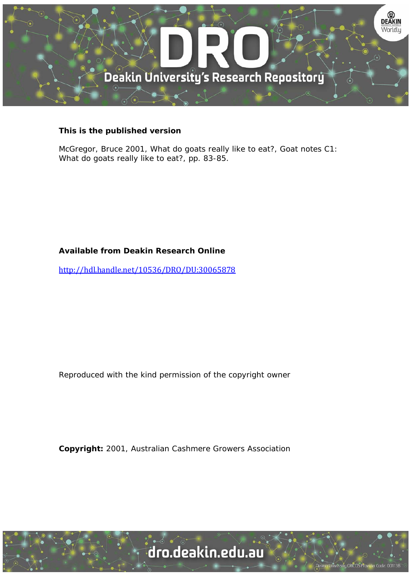

#### **This is the published version**

McGregor, Bruce 2001, What do goats really like to eat?, Goat notes C1: What do goats really like to eat?, pp. 83-85.

## **Available from Deakin Research Online**

http://hdl.handle.net/10536/DRO/DU:30065878

Reproduced with the kind permission of the copyright owner

**Copyright:** 2001, Australian Cashmere Growers Association

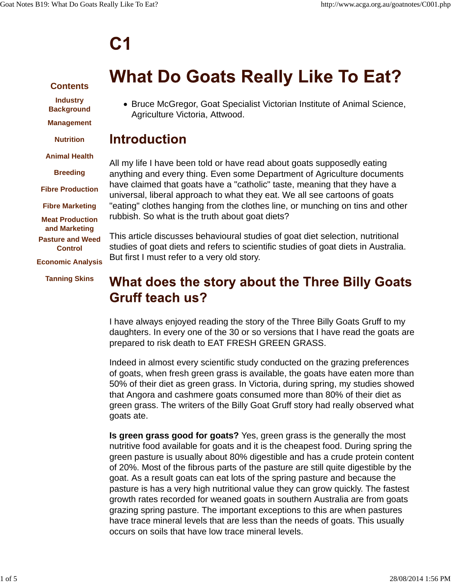# $C<sub>1</sub>$

## **Contents**

**Industry Background Management**

**Nutrition**

**Animal Health**

**Breeding**

**Fibre Production**

**Fibre Marketing**

**Meat Production and Marketing Pasture and Weed Control Economic Analysis**

**Tanning Skins**

# **What Do Goats Really Like To Eat?**

Bruce McGregor, Goat Specialist Victorian Institute of Animal Science, Agriculture Victoria, Attwood.

## **Introduction**

All my life I have been told or have read about goats supposedly eating anything and every thing. Even some Department of Agriculture documents have claimed that goats have a "catholic" taste, meaning that they have a universal, liberal approach to what they eat. We all see cartoons of goats "eating" clothes hanging from the clothes line, or munching on tins and other rubbish. So what is the truth about goat diets?

This article discusses behavioural studies of goat diet selection, nutritional studies of goat diets and refers to scientific studies of goat diets in Australia. But first I must refer to a very old story.

# What does the story about the Three Billy Goats **Gruff teach us?**

I have always enjoyed reading the story of the Three Billy Goats Gruff to my daughters. In every one of the 30 or so versions that I have read the goats are prepared to risk death to EAT FRESH GREEN GRASS.

Indeed in almost every scientific study conducted on the grazing preferences of goats, when fresh green grass is available, the goats have eaten more than 50% of their diet as green grass. In Victoria, during spring, my studies showed that Angora and cashmere goats consumed more than 80% of their diet as green grass. The writers of the Billy Goat Gruff story had really observed what goats ate.

**Is green grass good for goats?** Yes, green grass is the generally the most nutritive food available for goats and it is the cheapest food. During spring the green pasture is usually about 80% digestible and has a crude protein content of 20%. Most of the fibrous parts of the pasture are still quite digestible by the goat. As a result goats can eat lots of the spring pasture and because the pasture is has a very high nutritional value they can grow quickly. The fastest growth rates recorded for weaned goats in southern Australia are from goats grazing spring pasture. The important exceptions to this are when pastures have trace mineral levels that are less than the needs of goats. This usually occurs on soils that have low trace mineral levels.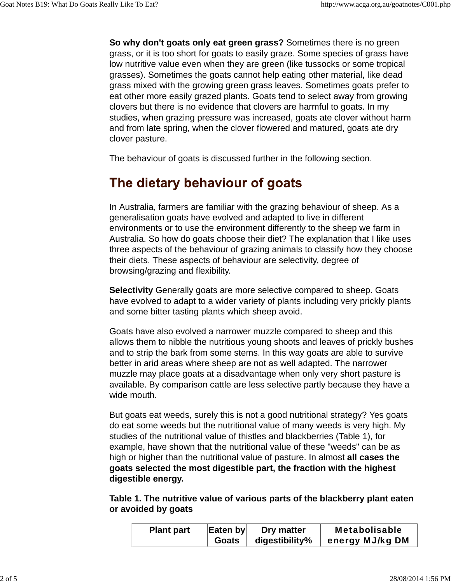**So why don't goats only eat green grass?** Sometimes there is no green grass, or it is too short for goats to easily graze. Some species of grass have low nutritive value even when they are green (like tussocks or some tropical grasses). Sometimes the goats cannot help eating other material, like dead grass mixed with the growing green grass leaves. Sometimes goats prefer to eat other more easily grazed plants. Goats tend to select away from growing clovers but there is no evidence that clovers are harmful to goats. In my studies, when grazing pressure was increased, goats ate clover without harm and from late spring, when the clover flowered and matured, goats ate dry clover pasture.

The behaviour of goats is discussed further in the following section.

# The dietary behaviour of goats

In Australia, farmers are familiar with the grazing behaviour of sheep. As a generalisation goats have evolved and adapted to live in different environments or to use the environment differently to the sheep we farm in Australia. So how do goats choose their diet? The explanation that I like uses three aspects of the behaviour of grazing animals to classify how they choose their diets. These aspects of behaviour are selectivity, degree of browsing/grazing and flexibility.

**Selectivity** Generally goats are more selective compared to sheep. Goats have evolved to adapt to a wider variety of plants including very prickly plants and some bitter tasting plants which sheep avoid.

Goats have also evolved a narrower muzzle compared to sheep and this allows them to nibble the nutritious young shoots and leaves of prickly bushes and to strip the bark from some stems. In this way goats are able to survive better in arid areas where sheep are not as well adapted. The narrower muzzle may place goats at a disadvantage when only very short pasture is available. By comparison cattle are less selective partly because they have a wide mouth.

But goats eat weeds, surely this is not a good nutritional strategy? Yes goats do eat some weeds but the nutritional value of many weeds is very high. My studies of the nutritional value of thistles and blackberries (Table 1), for example, have shown that the nutritional value of these "weeds" can be as high or higher than the nutritional value of pasture. In almost **all cases the goats selected the most digestible part, the fraction with the highest digestible energy.**

**Table 1. The nutritive value of various parts of the blackberry plant eaten or avoided by goats**

| <b>Plant part</b> | Eaten by | Dry matter             | <b>Metabolisable</b> |
|-------------------|----------|------------------------|----------------------|
|                   |          | Goats   digestibility% | energy MJ/kg DM      |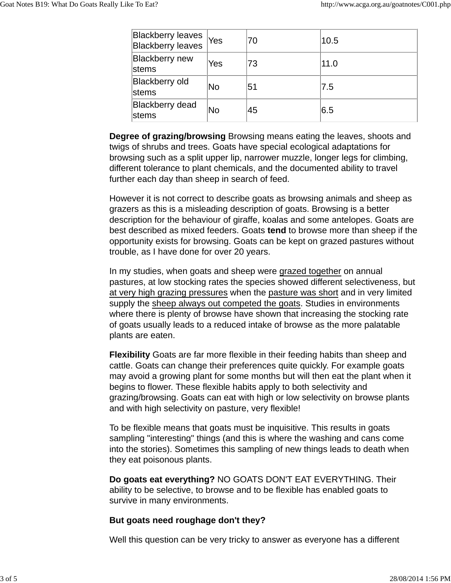| <b>Blackberry leaves</b><br><b>Blackberry leaves</b> | Yes | 70 | 10.5 |
|------------------------------------------------------|-----|----|------|
| <b>Blackberry</b> new<br>stems                       | Yes | 73 | 11.0 |
| <b>Blackberry old</b><br>stems                       | No  | 51 | 7.5  |
| <b>Blackberry dead</b><br>stems                      | No  | 45 | 6.5  |

**Degree of grazing/browsing** Browsing means eating the leaves, shoots and twigs of shrubs and trees. Goats have special ecological adaptations for browsing such as a split upper lip, narrower muzzle, longer legs for climbing, different tolerance to plant chemicals, and the documented ability to travel further each day than sheep in search of feed.

However it is not correct to describe goats as browsing animals and sheep as grazers as this is a misleading description of goats. Browsing is a better description for the behaviour of giraffe, koalas and some antelopes. Goats are best described as mixed feeders. Goats **tend** to browse more than sheep if the opportunity exists for browsing. Goats can be kept on grazed pastures without trouble, as I have done for over 20 years.

In my studies, when goats and sheep were grazed together on annual pastures, at low stocking rates the species showed different selectiveness, but at very high grazing pressures when the pasture was short and in very limited supply the sheep always out competed the goats. Studies in environments where there is plenty of browse have shown that increasing the stocking rate of goats usually leads to a reduced intake of browse as the more palatable plants are eaten.

**Flexibility** Goats are far more flexible in their feeding habits than sheep and cattle. Goats can change their preferences quite quickly. For example goats may avoid a growing plant for some months but will then eat the plant when it begins to flower. These flexible habits apply to both selectivity and grazing/browsing. Goats can eat with high or low selectivity on browse plants and with high selectivity on pasture, very flexible!

To be flexible means that goats must be inquisitive. This results in goats sampling "interesting" things (and this is where the washing and cans come into the stories). Sometimes this sampling of new things leads to death when they eat poisonous plants.

**Do goats eat everything?** NO GOATS DON'T EAT EVERYTHING. Their ability to be selective, to browse and to be flexible has enabled goats to survive in many environments.

### **But goats need roughage don't they?**

Well this question can be very tricky to answer as everyone has a different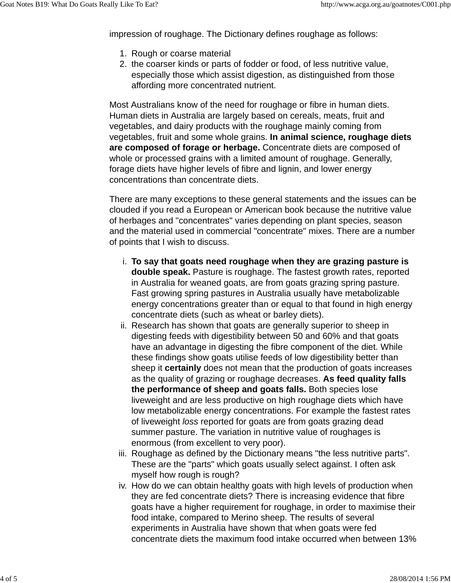impression of roughage. The Dictionary defines roughage as follows:

- 1. Rough or coarse material
- 2. the coarser kinds or parts of fodder or food, of less nutritive value, especially those which assist digestion, as distinguished from those affording more concentrated nutrient.

Most Australians know of the need for roughage or fibre in human diets. Human diets in Australia are largely based on cereals, meats, fruit and vegetables, and dairy products with the roughage mainly coming from vegetables, fruit and some whole grains. **In animal science, roughage diets are composed of forage or herbage.** Concentrate diets are composed of whole or processed grains with a limited amount of roughage. Generally, forage diets have higher levels of fibre and lignin, and lower energy concentrations than concentrate diets.

There are many exceptions to these general statements and the issues can be clouded if you read a European or American book because the nutritive value of herbages and "concentrates" varies depending on plant species, season and the material used in commercial "concentrate" mixes. There are a number of points that I wish to discuss.

- **To say that goats need roughage when they are grazing pasture is** i. **double speak.** Pasture is roughage. The fastest growth rates, reported in Australia for weaned goats, are from goats grazing spring pasture. Fast growing spring pastures in Australia usually have metabolizable energy concentrations greater than or equal to that found in high energy concentrate diets (such as wheat or barley diets).
- ii. Research has shown that goats are generally superior to sheep in digesting feeds with digestibility between 50 and 60% and that goats have an advantage in digesting the fibre component of the diet. While these findings show goats utilise feeds of low digestibility better than sheep it **certainly** does not mean that the production of goats increases as the quality of grazing or roughage decreases. **As feed quality falls the performance of sheep and goats falls.** Both species lose liveweight and are less productive on high roughage diets which have low metabolizable energy concentrations. For example the fastest rates of liveweight *loss* reported for goats are from goats grazing dead summer pasture. The variation in nutritive value of roughages is enormous (from excellent to very poor).
- iii. Roughage as defined by the Dictionary means "the less nutritive parts". These are the "parts" which goats usually select against. I often ask myself how rough is rough?
- iv. How do we can obtain healthy goats with high levels of production when they are fed concentrate diets? There is increasing evidence that fibre goats have a higher requirement for roughage, in order to maximise their food intake, compared to Merino sheep. The results of several experiments in Australia have shown that when goats were fed concentrate diets the maximum food intake occurred when between 13%